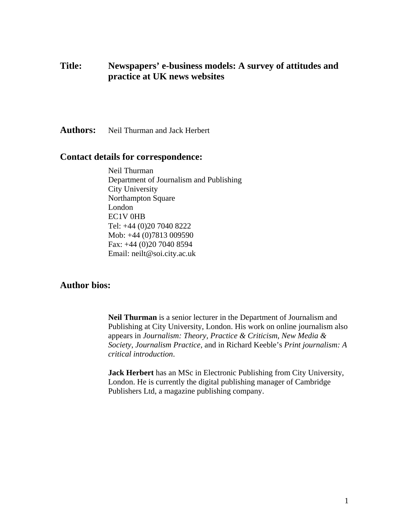# **Title: Newspapers' e-business models: A survey of attitudes and practice at UK news websites**

**Authors:** Neil Thurman and Jack Herbert

# **Contact details for correspondence:**

Neil Thurman Department of Journalism and Publishing City University Northampton Square London EC1V 0HB Tel: +44 (0)20 7040 8222 Mob: +44 (0)7813 009590 Fax: +44 (0)20 7040 8594 Email: neilt@soi.city.ac.uk

# **Author bios:**

**Neil Thurman** is a senior lecturer in the Department of Journalism and Publishing at City University, London. His work on online journalism also appears in *Journalism: Theory, Practice & Criticism*, *New Media & Society*, *Journalism Practice,* and in Richard Keeble's *Print journalism: A critical introduction*.

**Jack Herbert** has an MSc in Electronic Publishing from City University, London. He is currently the digital publishing manager of Cambridge Publishers Ltd, a magazine publishing company.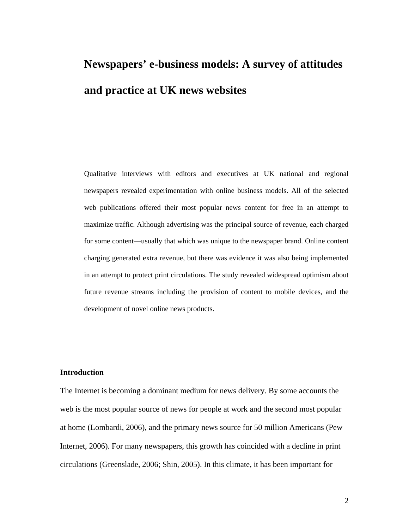# **Newspapers' e-business models: A survey of attitudes and practice at UK news websites**

Qualitative interviews with editors and executives at UK national and regional newspapers revealed experimentation with online business models. All of the selected web publications offered their most popular news content for free in an attempt to maximize traffic. Although advertising was the principal source of revenue, each charged for some content—usually that which was unique to the newspaper brand. Online content charging generated extra revenue, but there was evidence it was also being implemented in an attempt to protect print circulations. The study revealed widespread optimism about future revenue streams including the provision of content to mobile devices, and the development of novel online news products.

# **Introduction**

The Internet is becoming a dominant medium for news delivery. By some accounts the web is the most popular source of news for people at work and the second most popular at home (Lombardi, 2006), and the primary news source for 50 million Americans (Pew Internet, 2006). For many newspapers, this growth has coincided with a decline in print circulations (Greenslade, 2006; Shin, 2005). In this climate, it has been important for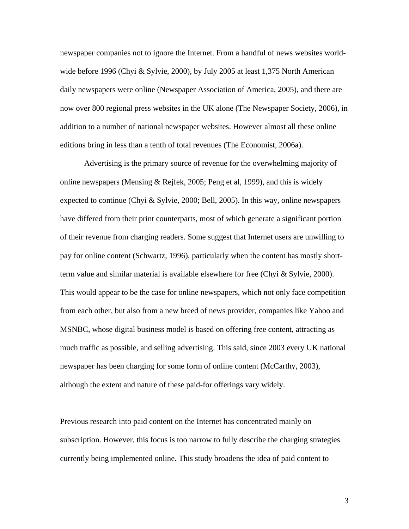newspaper companies not to ignore the Internet. From a handful of news websites worldwide before 1996 (Chyi & Sylvie, 2000), by July 2005 at least 1,375 North American daily newspapers were online (Newspaper Association of America, 2005), and there are now over 800 regional press websites in the UK alone (The Newspaper Society, 2006), in addition to a number of national newspaper websites. However almost all these online editions bring in less than a tenth of total revenues (The Economist, 2006a).

Advertising is the primary source of revenue for the overwhelming majority of online newspapers (Mensing & Rejfek, 2005; Peng et al, 1999), and this is widely expected to continue (Chyi & Sylvie, 2000; Bell, 2005). In this way, online newspapers have differed from their print counterparts, most of which generate a significant portion of their revenue from charging readers. Some suggest that Internet users are unwilling to pay for online content (Schwartz, 1996), particularly when the content has mostly shortterm value and similar material is available elsewhere for free (Chyi & Sylvie, 2000). This would appear to be the case for online newspapers, which not only face competition from each other, but also from a new breed of news provider, companies like Yahoo and MSNBC, whose digital business model is based on offering free content, attracting as much traffic as possible, and selling advertising. This said, since 2003 every UK national newspaper has been charging for some form of online content (McCarthy, 2003), although the extent and nature of these paid-for offerings vary widely.

Previous research into paid content on the Internet has concentrated mainly on subscription. However, this focus is too narrow to fully describe the charging strategies currently being implemented online. This study broadens the idea of paid content to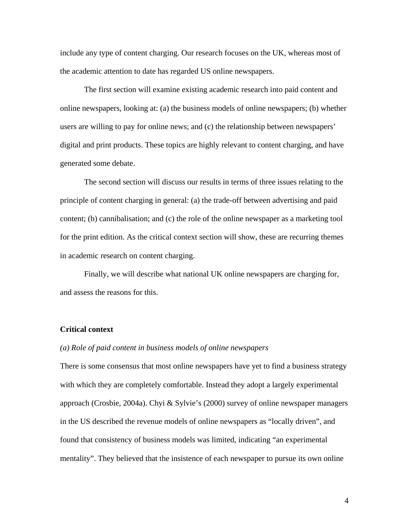include any type of content charging. Our research focuses on the UK, whereas most of the academic attention to date has regarded US online newspapers.

The first section will examine existing academic research into paid content and online newspapers, looking at: (a) the business models of online newspapers; (b) whether users are willing to pay for online news; and (c) the relationship between newspapers' digital and print products. These topics are highly relevant to content charging, and have generated some debate.

The second section will discuss our results in terms of three issues relating to the principle of content charging in general: (a) the trade-off between advertising and paid content; (b) cannibalisation; and (c) the role of the online newspaper as a marketing tool for the print edition. As the critical context section will show, these are recurring themes in academic research on content charging.

Finally, we will describe what national UK online newspapers are charging for, and assess the reasons for this.

# **Critical context**

#### *(a) Role of paid content in business models of online newspapers*

There is some consensus that most online newspapers have yet to find a business strategy with which they are completely comfortable. Instead they adopt a largely experimental approach (Crosbie, 2004a). Chyi & Sylvie's (2000) survey of online newspaper managers in the US described the revenue models of online newspapers as "locally driven", and found that consistency of business models was limited, indicating "an experimental mentality". They believed that the insistence of each newspaper to pursue its own online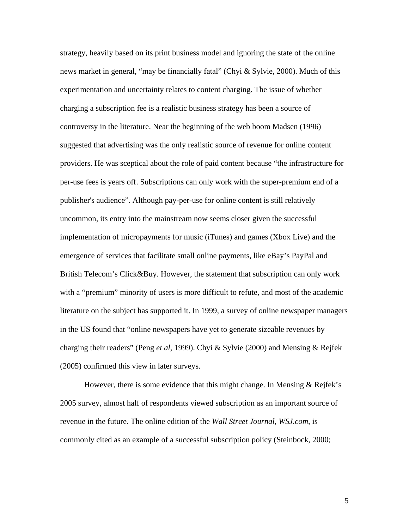strategy, heavily based on its print business model and ignoring the state of the online news market in general, "may be financially fatal" (Chyi & Sylvie, 2000). Much of this experimentation and uncertainty relates to content charging. The issue of whether charging a subscription fee is a realistic business strategy has been a source of controversy in the literature. Near the beginning of the web boom Madsen (1996) suggested that advertising was the only realistic source of revenue for online content providers. He was sceptical about the role of paid content because "the infrastructure for per-use fees is years off. Subscriptions can only work with the super-premium end of a publisher's audience". Although pay-per-use for online content is still relatively uncommon, its entry into the mainstream now seems closer given the successful implementation of micropayments for music (iTunes) and games (Xbox Live) and the emergence of services that facilitate small online payments, like eBay's PayPal and British Telecom's Click&Buy. However, the statement that subscription can only work with a "premium" minority of users is more difficult to refute, and most of the academic literature on the subject has supported it. In 1999, a survey of online newspaper managers in the US found that "online newspapers have yet to generate sizeable revenues by charging their readers" (Peng *et al*, 1999). Chyi & Sylvie (2000) and Mensing & Rejfek (2005) confirmed this view in later surveys.

However, there is some evidence that this might change. In Mensing & Rejfek's 2005 survey, almost half of respondents viewed subscription as an important source of revenue in the future. The online edition of the *Wall Street Journal*, *WSJ.com*, is commonly cited as an example of a successful subscription policy (Steinbock, 2000;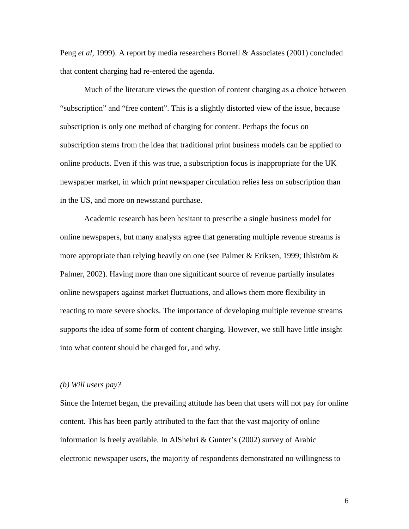Peng *et al*, 1999). A report by media researchers Borrell & Associates (2001) concluded that content charging had re-entered the agenda.

Much of the literature views the question of content charging as a choice between "subscription" and "free content". This is a slightly distorted view of the issue, because subscription is only one method of charging for content. Perhaps the focus on subscription stems from the idea that traditional print business models can be applied to online products. Even if this was true, a subscription focus is inappropriate for the UK newspaper market, in which print newspaper circulation relies less on subscription than in the US, and more on newsstand purchase.

Academic research has been hesitant to prescribe a single business model for online newspapers, but many analysts agree that generating multiple revenue streams is more appropriate than relying heavily on one (see Palmer & Eriksen, 1999; Ihlström  $\&$ Palmer, 2002). Having more than one significant source of revenue partially insulates online newspapers against market fluctuations, and allows them more flexibility in reacting to more severe shocks. The importance of developing multiple revenue streams supports the idea of some form of content charging. However, we still have little insight into what content should be charged for, and why.

#### *(b) Will users pay?*

Since the Internet began, the prevailing attitude has been that users will not pay for online content. This has been partly attributed to the fact that the vast majority of online information is freely available. In AlShehri & Gunter's (2002) survey of Arabic electronic newspaper users, the majority of respondents demonstrated no willingness to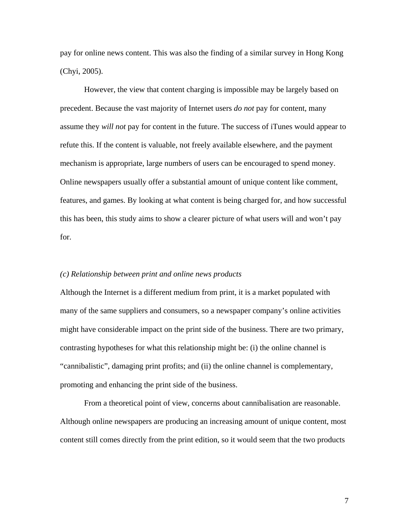pay for online news content. This was also the finding of a similar survey in Hong Kong (Chyi, 2005).

However, the view that content charging is impossible may be largely based on precedent. Because the vast majority of Internet users *do not* pay for content, many assume they *will not* pay for content in the future. The success of iTunes would appear to refute this. If the content is valuable, not freely available elsewhere, and the payment mechanism is appropriate, large numbers of users can be encouraged to spend money. Online newspapers usually offer a substantial amount of unique content like comment, features, and games. By looking at what content is being charged for, and how successful this has been, this study aims to show a clearer picture of what users will and won't pay for.

#### *(c) Relationship between print and online news products*

Although the Internet is a different medium from print, it is a market populated with many of the same suppliers and consumers, so a newspaper company's online activities might have considerable impact on the print side of the business. There are two primary, contrasting hypotheses for what this relationship might be: (i) the online channel is "cannibalistic", damaging print profits; and (ii) the online channel is complementary, promoting and enhancing the print side of the business.

From a theoretical point of view, concerns about cannibalisation are reasonable. Although online newspapers are producing an increasing amount of unique content, most content still comes directly from the print edition, so it would seem that the two products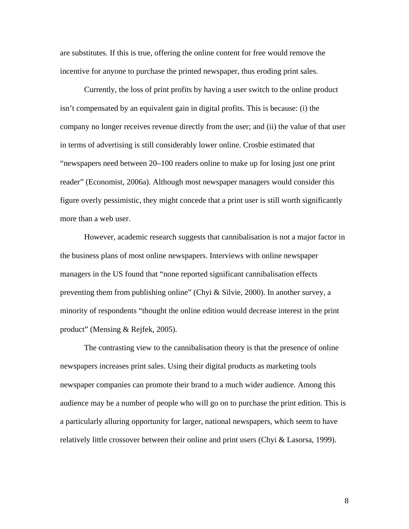are substitutes. If this is true, offering the online content for free would remove the incentive for anyone to purchase the printed newspaper, thus eroding print sales.

Currently, the loss of print profits by having a user switch to the online product isn't compensated by an equivalent gain in digital profits. This is because: (i) the company no longer receives revenue directly from the user; and (ii) the value of that user in terms of advertising is still considerably lower online. Crosbie estimated that "newspapers need between 20–100 readers online to make up for losing just one print reader" (Economist, 2006a). Although most newspaper managers would consider this figure overly pessimistic, they might concede that a print user is still worth significantly more than a web user.

However, academic research suggests that cannibalisation is not a major factor in the business plans of most online newspapers. Interviews with online newspaper managers in the US found that "none reported significant cannibalisation effects preventing them from publishing online" (Chyi & Silvie, 2000). In another survey, a minority of respondents "thought the online edition would decrease interest in the print product" (Mensing & Rejfek, 2005).

The contrasting view to the cannibalisation theory is that the presence of online newspapers increases print sales. Using their digital products as marketing tools newspaper companies can promote their brand to a much wider audience. Among this audience may be a number of people who will go on to purchase the print edition. This is a particularly alluring opportunity for larger, national newspapers, which seem to have relatively little crossover between their online and print users (Chyi & Lasorsa, 1999).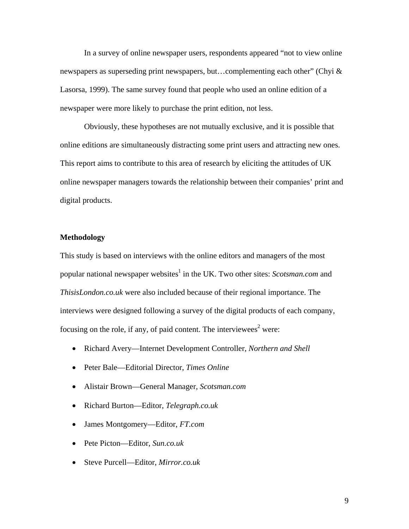In a survey of online newspaper users, respondents appeared "not to view online newspapers as superseding print newspapers, but…complementing each other" (Chyi & Lasorsa, 1999). The same survey found that people who used an online edition of a newspaper were more likely to purchase the print edition, not less.

Obviously, these hypotheses are not mutually exclusive, and it is possible that online editions are simultaneously distracting some print users and attracting new ones. This report aims to contribute to this area of research by eliciting the attitudes of UK online newspaper managers towards the relationship between their companies' print and digital products.

# **Methodology**

This study is based on interviews with the online editors and managers of the most popular national newspaper websites<sup>1</sup> in the UK. Two other sites: *Scotsman.com* and *ThisisLondon.co.uk* were also included because of their regional importance. The interviews were designed following a survey of the digital products of each company, focusing on the role, if any, of paid content. The interviewees<sup>2</sup> were:

- Richard Avery—Internet Development Controller, *Northern and Shell*
- Peter Bale—Editorial Director, *Times Online*
- Alistair Brown—General Manager, *Scotsman.com*
- Richard Burton—Editor, *Telegraph.co.uk*
- James Montgomery—Editor, *FT.com*
- Pete Picton—Editor, *Sun.co.uk*
- Steve Purcell—Editor, *Mirror.co.uk*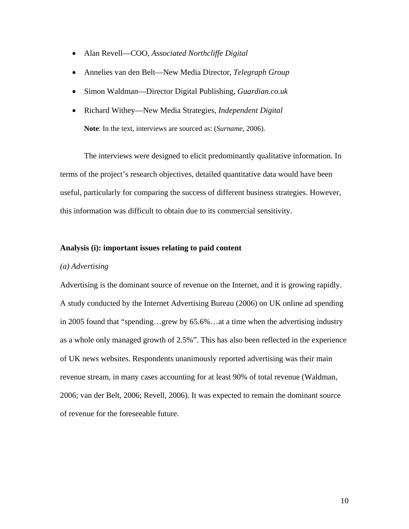- Alan Revell—COO, *Associated Northcliffe Digital*
- Annelies van den Belt—New Media Director, *Telegraph Group*
- Simon Waldman—Director Digital Publishing, *Guardian.co.uk*
- Richard Withey—New Media Strategies, *Independent Digital* **Note**: In the text, interviews are sourced as: (*Surname*, 2006).

The interviews were designed to elicit predominantly qualitative information. In terms of the project's research objectives, detailed quantitative data would have been useful, particularly for comparing the success of different business strategies. However, this information was difficult to obtain due to its commercial sensitivity.

# **Analysis (i): important issues relating to paid content**

# *(a) Advertising*

Advertising is the dominant source of revenue on the Internet, and it is growing rapidly. A study conducted by the Internet Advertising Bureau (2006) on UK online ad spending in 2005 found that "spending…grew by 65.6%…at a time when the advertising industry as a whole only managed growth of 2.5%". This has also been reflected in the experience of UK news websites. Respondents unanimously reported advertising was their main revenue stream, in many cases accounting for at least 90% of total revenue (Waldman, 2006; van der Belt, 2006; Revell, 2006). It was expected to remain the dominant source of revenue for the foreseeable future.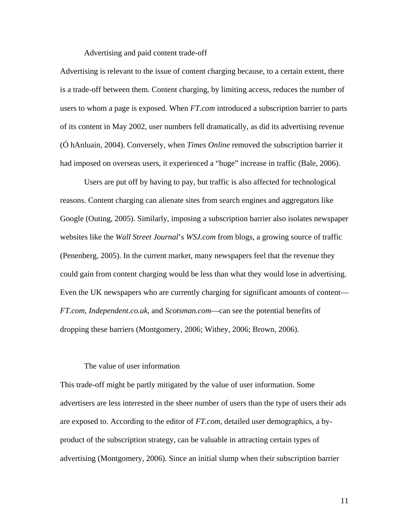Advertising and paid content trade-off

Advertising is relevant to the issue of content charging because, to a certain extent, there is a trade-off between them. Content charging, by limiting access, reduces the number of users to whom a page is exposed. When *FT.com* introduced a subscription barrier to parts of its content in May 2002, user numbers fell dramatically, as did its advertising revenue (Ó hAnluain, 2004). Conversely, when *Times Online* removed the subscription barrier it had imposed on overseas users, it experienced a "huge" increase in traffic (Bale, 2006).

Users are put off by having to pay, but traffic is also affected for technological reasons. Content charging can alienate sites from search engines and aggregators like Google (Outing, 2005). Similarly, imposing a subscription barrier also isolates newspaper websites like the *Wall Street Journal*'s *WSJ.com* from blogs, a growing source of traffic (Penenberg, 2005). In the current market, many newspapers feel that the revenue they could gain from content charging would be less than what they would lose in advertising. Even the UK newspapers who are currently charging for significant amounts of content— *FT.com*, *Independent.co.uk*, and *Scotsman.com*—can see the potential benefits of dropping these barriers (Montgomery, 2006; Withey, 2006; Brown, 2006).

# The value of user information

This trade-off might be partly mitigated by the value of user information. Some advertisers are less interested in the sheer number of users than the type of users their ads are exposed to. According to the editor of *FT.com*, detailed user demographics, a byproduct of the subscription strategy, can be valuable in attracting certain types of advertising (Montgomery, 2006). Since an initial slump when their subscription barrier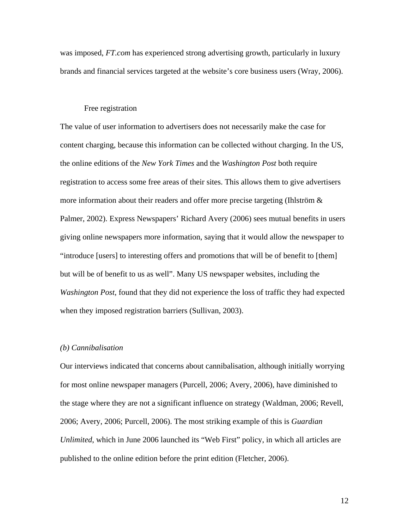was imposed, *FT.com* has experienced strong advertising growth, particularly in luxury brands and financial services targeted at the website's core business users (Wray, 2006).

# Free registration

The value of user information to advertisers does not necessarily make the case for content charging, because this information can be collected without charging. In the US, the online editions of the *New York Times* and the *Washington Post* both require registration to access some free areas of their sites. This allows them to give advertisers more information about their readers and offer more precise targeting (Ihlström  $\&$ Palmer, 2002). Express Newspapers' Richard Avery (2006) sees mutual benefits in users giving online newspapers more information, saying that it would allow the newspaper to "introduce [users] to interesting offers and promotions that will be of benefit to [them] but will be of benefit to us as well". Many US newspaper websites, including the *Washington Post*, found that they did not experience the loss of traffic they had expected when they imposed registration barriers (Sullivan, 2003).

#### *(b) Cannibalisation*

Our interviews indicated that concerns about cannibalisation, although initially worrying for most online newspaper managers (Purcell, 2006; Avery, 2006), have diminished to the stage where they are not a significant influence on strategy (Waldman, 2006; Revell, 2006; Avery, 2006; Purcell, 2006). The most striking example of this is *Guardian Unlimited*, which in June 2006 launched its "Web First" policy, in which all articles are published to the online edition before the print edition (Fletcher, 2006).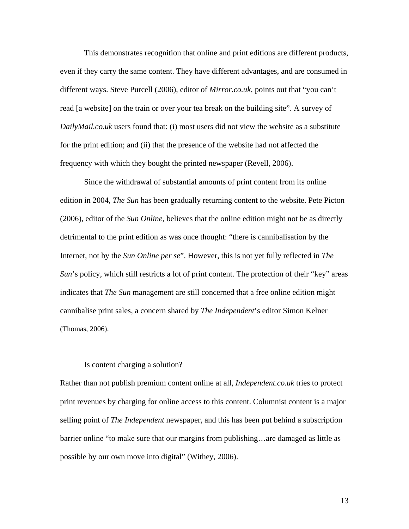This demonstrates recognition that online and print editions are different products, even if they carry the same content. They have different advantages, and are consumed in different ways. Steve Purcell (2006), editor of *Mirror.co.uk*, points out that "you can't read [a website] on the train or over your tea break on the building site". A survey of *DailyMail.co.uk* users found that: (i) most users did not view the website as a substitute for the print edition; and (ii) that the presence of the website had not affected the frequency with which they bought the printed newspaper (Revell, 2006).

Since the withdrawal of substantial amounts of print content from its online edition in 2004, *The Sun* has been gradually returning content to the website. Pete Picton (2006), editor of the *Sun Online*, believes that the online edition might not be as directly detrimental to the print edition as was once thought: "there is cannibalisation by the Internet, not by the *Sun Online per se*". However, this is not yet fully reflected in *The Sun*'s policy, which still restricts a lot of print content. The protection of their "key" areas indicates that *The Sun* management are still concerned that a free online edition might cannibalise print sales, a concern shared by *The Independent*'s editor Simon Kelner (Thomas, 2006).

# Is content charging a solution?

Rather than not publish premium content online at all, *Independent.co.uk* tries to protect print revenues by charging for online access to this content. Columnist content is a major selling point of *The Independent* newspaper, and this has been put behind a subscription barrier online "to make sure that our margins from publishing…are damaged as little as possible by our own move into digital" (Withey, 2006).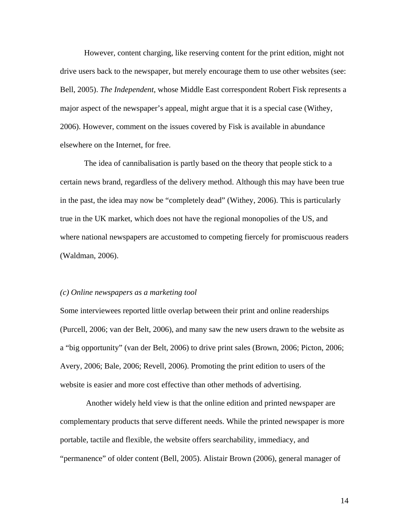However, content charging, like reserving content for the print edition, might not drive users back to the newspaper, but merely encourage them to use other websites (see: Bell, 2005). *The Independent*, whose Middle East correspondent Robert Fisk represents a major aspect of the newspaper's appeal, might argue that it is a special case (Withey, 2006). However, comment on the issues covered by Fisk is available in abundance elsewhere on the Internet, for free.

The idea of cannibalisation is partly based on the theory that people stick to a certain news brand, regardless of the delivery method. Although this may have been true in the past, the idea may now be "completely dead" (Withey, 2006). This is particularly true in the UK market, which does not have the regional monopolies of the US, and where national newspapers are accustomed to competing fiercely for promiscuous readers (Waldman, 2006).

#### *(c) Online newspapers as a marketing tool*

Some interviewees reported little overlap between their print and online readerships (Purcell, 2006; van der Belt, 2006), and many saw the new users drawn to the website as a "big opportunity" (van der Belt, 2006) to drive print sales (Brown, 2006; Picton, 2006; Avery, 2006; Bale, 2006; Revell, 2006). Promoting the print edition to users of the website is easier and more cost effective than other methods of advertising.

Another widely held view is that the online edition and printed newspaper are complementary products that serve different needs. While the printed newspaper is more portable, tactile and flexible, the website offers searchability, immediacy, and "permanence" of older content (Bell, 2005). Alistair Brown (2006), general manager of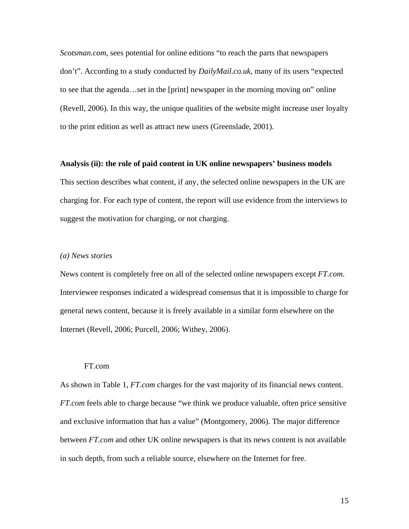*Scotsman.com*, sees potential for online editions "to reach the parts that newspapers don't". According to a study conducted by *DailyMail.co.uk*, many of its users "expected to see that the agenda…set in the [print] newspaper in the morning moving on" online (Revell, 2006). In this way, the unique qualities of the website might increase user loyalty to the print edition as well as attract new users (Greenslade, 2001).

#### **Analysis (ii): the role of paid content in UK online newspapers' business models**

This section describes what content, if any, the selected online newspapers in the UK are charging for. For each type of content, the report will use evidence from the interviews to suggest the motivation for charging, or not charging.

# *(a) News stories*

News content is completely free on all of the selected online newspapers except *FT.com*. Interviewee responses indicated a widespread consensus that it is impossible to charge for general news content, because it is freely available in a similar form elsewhere on the Internet (Revell, 2006; Purcell, 2006; Withey, 2006).

# FT.com

As shown in Table 1, *FT.com* charges for the vast majority of its financial news content. *FT.com* feels able to charge because "we think we produce valuable, often price sensitive and exclusive information that has a value" (Montgomery, 2006). The major difference between *FT.com* and other UK online newspapers is that its news content is not available in such depth, from such a reliable source, elsewhere on the Internet for free.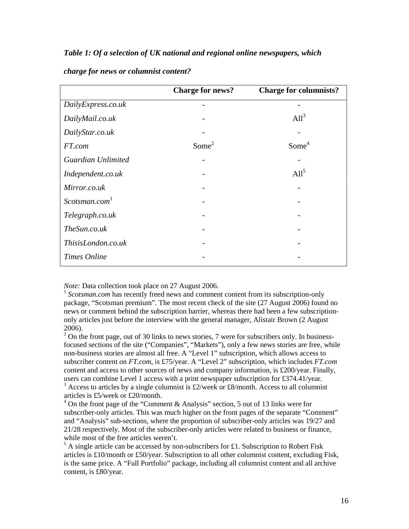# *Table 1: Of a selection of UK national and regional online newspapers, which*

|                           | <b>Charge for news?</b> | <b>Charge for columnists?</b> |
|---------------------------|-------------------------|-------------------------------|
| DailyExpress.co.uk        |                         |                               |
| DailyMail.co.uk           |                         | $All^3$                       |
| DailyStar.co.uk           |                         |                               |
| FT.com                    | Some <sup>2</sup>       | Some <sup>4</sup>             |
| Guardian Unlimited        |                         |                               |
| Independent.co.uk         |                         | All <sup>5</sup>              |
| Mirror.co.uk              |                         |                               |
| Scotsman.com <sup>1</sup> |                         |                               |
| Telegraph.co.uk           |                         |                               |
| TheSun.co.uk              |                         |                               |
| ThisisLondon.co.uk        |                         |                               |
| Times Online              |                         |                               |

#### *charge for news or columnist content?*

*Note:* Data collection took place on 27 August 2006.

<sup>1</sup> *Scotsman.com* has recently freed news and comment content from its subscription-only package, "Scotsman premium". The most recent check of the site (27 August 2006) found no news or comment behind the subscription barrier, whereas there had been a few subscriptiononly articles just before the interview with the general manager, Alistair Brown (2 August 2006).

 $2^{2}$  On the front page, out of 30 links to news stories, 7 were for subscribers only. In businessfocused sections of the site ("Companies", "Markets"), only a few news stories are free, while non-business stories are almost all free. A "Level 1" subscription, which allows access to subscriber content on *FT.com*, is £75/year. A "Level 2" subscription, which includes *FT.com* content and access to other sources of news and company information, is £200/year. Finally, users can combine Level 1 access with a print newspaper subscription for £374.41/year.

 $3$  Access to articles by a single columnist is £2/week or £8/month. Access to all columnist articles is £5/week or £20/month.

<sup>4</sup> On the front page of the "Comment & Analysis" section, 5 out of 13 links were for subscriber-only articles. This was much higher on the front pages of the separate "Comment" and "Analysis" sub-sections, where the proportion of subscriber-only articles was 19/27 and 21/28 respectively. Most of the subscriber-only articles were related to business or finance, while most of the free articles weren't.

 $<sup>5</sup>$  A single article can be accessed by non-subscribers for £1. Subscription to Robert Fisk</sup> articles is £10/month or £50/year. Subscription to all other columnist content, excluding Fisk, is the same price. A "Full Portfolio" package, including all columnist content and all archive content, is £80/year.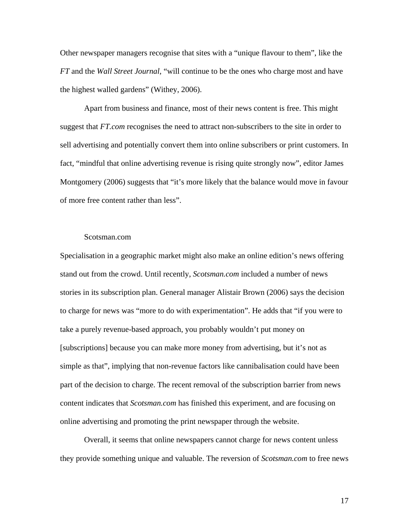Other newspaper managers recognise that sites with a "unique flavour to them", like the *FT* and the *Wall Street Journal*, "will continue to be the ones who charge most and have the highest walled gardens" (Withey, 2006).

Apart from business and finance, most of their news content is free. This might suggest that *FT.com* recognises the need to attract non-subscribers to the site in order to sell advertising and potentially convert them into online subscribers or print customers. In fact, "mindful that online advertising revenue is rising quite strongly now", editor James Montgomery (2006) suggests that "it's more likely that the balance would move in favour of more free content rather than less".

#### Scotsman.com

Specialisation in a geographic market might also make an online edition's news offering stand out from the crowd. Until recently, *Scotsman.com* included a number of news stories in its subscription plan. General manager Alistair Brown (2006) says the decision to charge for news was "more to do with experimentation". He adds that "if you were to take a purely revenue-based approach, you probably wouldn't put money on [subscriptions] because you can make more money from advertising, but it's not as simple as that", implying that non-revenue factors like cannibalisation could have been part of the decision to charge. The recent removal of the subscription barrier from news content indicates that *Scotsman.com* has finished this experiment, and are focusing on online advertising and promoting the print newspaper through the website.

Overall, it seems that online newspapers cannot charge for news content unless they provide something unique and valuable. The reversion of *Scotsman.com* to free news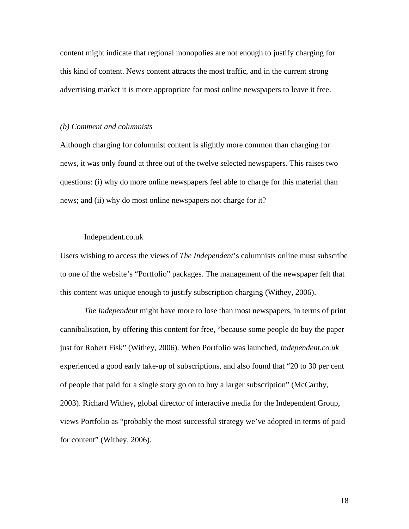content might indicate that regional monopolies are not enough to justify charging for this kind of content. News content attracts the most traffic, and in the current strong advertising market it is more appropriate for most online newspapers to leave it free.

#### *(b) Comment and columnists*

Although charging for columnist content is slightly more common than charging for news, it was only found at three out of the twelve selected newspapers. This raises two questions: (i) why do more online newspapers feel able to charge for this material than news; and (ii) why do most online newspapers not charge for it?

# Independent.co.uk

Users wishing to access the views of *The Independent*'s columnists online must subscribe to one of the website's "Portfolio" packages. The management of the newspaper felt that this content was unique enough to justify subscription charging (Withey, 2006).

*The Independent* might have more to lose than most newspapers, in terms of print cannibalisation, by offering this content for free, "because some people do buy the paper just for Robert Fisk" (Withey, 2006). When Portfolio was launched, *Independent.co.uk* experienced a good early take-up of subscriptions, and also found that "20 to 30 per cent of people that paid for a single story go on to buy a larger subscription" (McCarthy, 2003). Richard Withey, global director of interactive media for the Independent Group, views Portfolio as "probably the most successful strategy we've adopted in terms of paid for content" (Withey, 2006).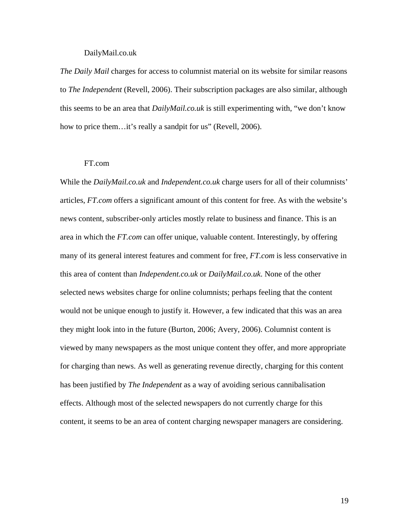## DailyMail.co.uk

*The Daily Mail* charges for access to columnist material on its website for similar reasons to *The Independent* (Revell, 2006). Their subscription packages are also similar, although this seems to be an area that *DailyMail.co.uk* is still experimenting with, "we don't know how to price them…it's really a sandpit for us" (Revell, 2006).

# FT.com

While the *DailyMail.co.uk* and *Independent.co.uk* charge users for all of their columnists' articles, *FT.com* offers a significant amount of this content for free. As with the website's news content, subscriber-only articles mostly relate to business and finance. This is an area in which the *FT.com* can offer unique, valuable content. Interestingly, by offering many of its general interest features and comment for free, *FT.com* is less conservative in this area of content than *Independent.co.uk* or *DailyMail.co.uk*. None of the other selected news websites charge for online columnists; perhaps feeling that the content would not be unique enough to justify it. However, a few indicated that this was an area they might look into in the future (Burton, 2006; Avery, 2006). Columnist content is viewed by many newspapers as the most unique content they offer, and more appropriate for charging than news. As well as generating revenue directly, charging for this content has been justified by *The Independent* as a way of avoiding serious cannibalisation effects. Although most of the selected newspapers do not currently charge for this content, it seems to be an area of content charging newspaper managers are considering.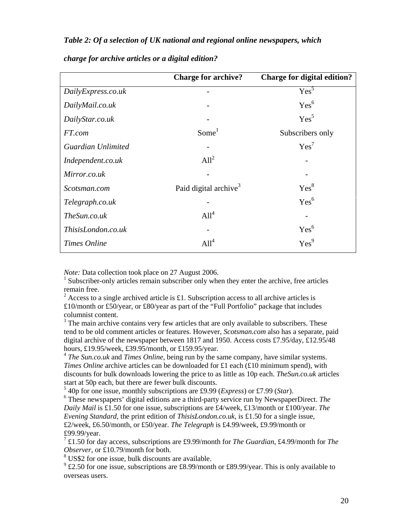# *Table 2: Of a selection of UK national and regional online newspapers, which*

|                    | <b>Charge for archive?</b>        | <b>Charge for digital edition?</b> |
|--------------------|-----------------------------------|------------------------------------|
| DailyExpress.co.uk |                                   | Yes <sup>5</sup>                   |
| DailyMail.co.uk    |                                   | Yes <sup>6</sup>                   |
| DailyStar.co.uk    |                                   | Yes <sup>5</sup>                   |
| FT.com             | Some <sup>1</sup>                 | Subscribers only                   |
| Guardian Unlimited |                                   | Yes <sup>7</sup>                   |
| Independent.co.uk  | All <sup>2</sup>                  |                                    |
| Mirror.co.uk       |                                   |                                    |
| Scotsman.com       | Paid digital archive <sup>3</sup> | Yes <sup>8</sup>                   |
| Telegraph.co.uk    |                                   | Yes <sup>6</sup>                   |
| The Sun.co.uk      | All <sup>4</sup>                  |                                    |
| ThisisLondon.co.uk |                                   | Yes <sup>6</sup>                   |
| Times Online       | $All^4$                           | Yes <sup>9</sup>                   |

# *charge for archive articles or a digital edition?*

*Note:* Data collection took place on 27 August 2006.

<sup>1</sup> Subscriber-only articles remain subscriber only when they enter the archive, free articles remain free.

<sup>2</sup> Access to a single archived article is £1. Subscription access to all archive articles is £10/month or £50/year, or £80/year as part of the "Full Portfolio" package that includes columnist content.

 $3$  The main archive contains very few articles that are only available to subscribers. These tend to be old comment articles or features. However, *Scotsman.com* also has a separate, paid digital archive of the newspaper between 1817 and 1950. Access costs £7.95/day, £12.95/48 hours, £19.95/week, £39.95/month, or £159.95/year.

<sup>4</sup> *The Sun.co.uk* and *Times Online*, being run by the same company, have similar systems. *Times Online* archive articles can be downloaded for £1 each (£10 minimum spend), with discounts for bulk downloads lowering the price to as little as 10p each. *TheSun.co.uk* articles start at 50p each, but there are fewer bulk discounts.

5 40p for one issue, monthly subscriptions are £9.99 (*Express*) or £7.99 (*Star*).

6 These newspapers' digital editions are a third-party service run by NewspaperDirect. *The Daily Mail* is £1.50 for one issue, subscriptions are £4/week, £13/month or £100/year. *The Evening Standard*, the print edition of *ThisisLondon.co.uk*, is £1.50 for a single issue, £2/week, £6.50/month, or £50/year. *The Telegraph* is £4.99/week, £9.99/month or £99.99/year.

7 £1.50 for day access, subscriptions are £9.99/month for *The Guardian*, £4.99/month for *The Observer*, or £10.79/month for both.

<sup>8</sup> US\$2 for one issue, bulk discounts are available.

 $9^9$  £2.50 for one issue, subscriptions are £8.99/month or £89.99/year. This is only available to overseas users.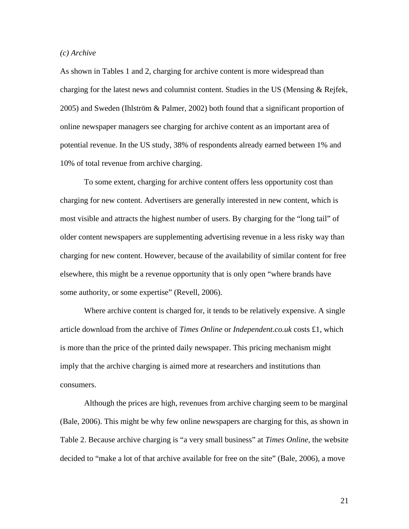#### *(c) Archive*

As shown in Tables 1 and 2, charging for archive content is more widespread than charging for the latest news and columnist content. Studies in the US (Mensing & Rejfek, 2005) and Sweden (Ihlström & Palmer, 2002) both found that a significant proportion of online newspaper managers see charging for archive content as an important area of potential revenue. In the US study, 38% of respondents already earned between 1% and 10% of total revenue from archive charging.

To some extent, charging for archive content offers less opportunity cost than charging for new content. Advertisers are generally interested in new content, which is most visible and attracts the highest number of users. By charging for the "long tail" of older content newspapers are supplementing advertising revenue in a less risky way than charging for new content. However, because of the availability of similar content for free elsewhere, this might be a revenue opportunity that is only open "where brands have some authority, or some expertise" (Revell, 2006).

Where archive content is charged for, it tends to be relatively expensive. A single article download from the archive of *Times Online* or *Independent.co.uk* costs £1, which is more than the price of the printed daily newspaper. This pricing mechanism might imply that the archive charging is aimed more at researchers and institutions than consumers.

Although the prices are high, revenues from archive charging seem to be marginal (Bale, 2006). This might be why few online newspapers are charging for this, as shown in Table 2. Because archive charging is "a very small business" at *Times Online*, the website decided to "make a lot of that archive available for free on the site" (Bale, 2006), a move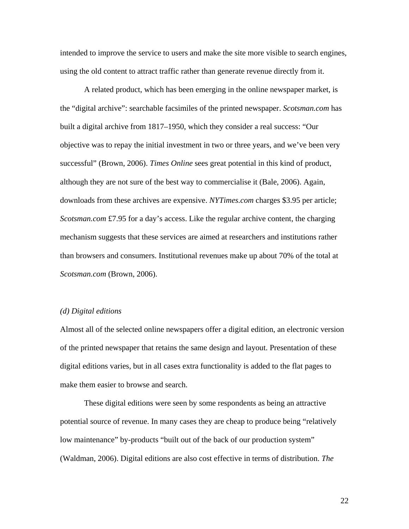intended to improve the service to users and make the site more visible to search engines, using the old content to attract traffic rather than generate revenue directly from it.

A related product, which has been emerging in the online newspaper market, is the "digital archive": searchable facsimiles of the printed newspaper. *Scotsman.com* has built a digital archive from 1817–1950, which they consider a real success: "Our objective was to repay the initial investment in two or three years, and we've been very successful" (Brown, 2006). *Times Online* sees great potential in this kind of product, although they are not sure of the best way to commercialise it (Bale, 2006). Again, downloads from these archives are expensive. *NYTimes.com* charges \$3.95 per article; *Scotsman.com* £7.95 for a day's access. Like the regular archive content, the charging mechanism suggests that these services are aimed at researchers and institutions rather than browsers and consumers. Institutional revenues make up about 70% of the total at *Scotsman.com* (Brown, 2006).

#### *(d) Digital editions*

Almost all of the selected online newspapers offer a digital edition, an electronic version of the printed newspaper that retains the same design and layout. Presentation of these digital editions varies, but in all cases extra functionality is added to the flat pages to make them easier to browse and search.

These digital editions were seen by some respondents as being an attractive potential source of revenue. In many cases they are cheap to produce being "relatively low maintenance" by-products "built out of the back of our production system" (Waldman, 2006). Digital editions are also cost effective in terms of distribution. *The*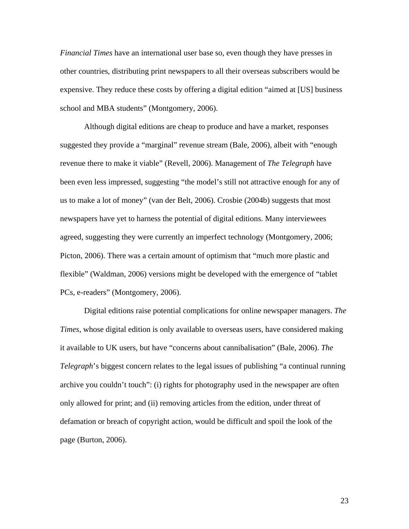*Financial Times* have an international user base so, even though they have presses in other countries, distributing print newspapers to all their overseas subscribers would be expensive. They reduce these costs by offering a digital edition "aimed at [US] business school and MBA students" (Montgomery, 2006).

Although digital editions are cheap to produce and have a market, responses suggested they provide a "marginal" revenue stream (Bale, 2006), albeit with "enough revenue there to make it viable" (Revell, 2006). Management of *The Telegraph* have been even less impressed, suggesting "the model's still not attractive enough for any of us to make a lot of money" (van der Belt, 2006). Crosbie (2004b) suggests that most newspapers have yet to harness the potential of digital editions. Many interviewees agreed, suggesting they were currently an imperfect technology (Montgomery, 2006; Picton, 2006). There was a certain amount of optimism that "much more plastic and flexible" (Waldman, 2006) versions might be developed with the emergence of "tablet PCs, e-readers" (Montgomery, 2006).

Digital editions raise potential complications for online newspaper managers. *The Times*, whose digital edition is only available to overseas users, have considered making it available to UK users, but have "concerns about cannibalisation" (Bale, 2006). *The Telegraph*'s biggest concern relates to the legal issues of publishing "a continual running archive you couldn't touch": (i) rights for photography used in the newspaper are often only allowed for print; and (ii) removing articles from the edition, under threat of defamation or breach of copyright action, would be difficult and spoil the look of the page (Burton, 2006).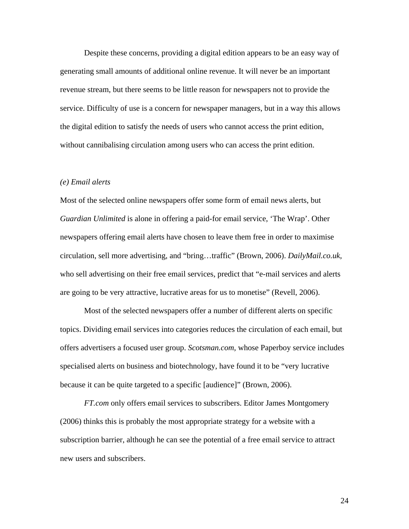Despite these concerns, providing a digital edition appears to be an easy way of generating small amounts of additional online revenue. It will never be an important revenue stream, but there seems to be little reason for newspapers not to provide the service. Difficulty of use is a concern for newspaper managers, but in a way this allows the digital edition to satisfy the needs of users who cannot access the print edition, without cannibalising circulation among users who can access the print edition.

#### *(e) Email alerts*

Most of the selected online newspapers offer some form of email news alerts, but *Guardian Unlimited* is alone in offering a paid-for email service, 'The Wrap'. Other newspapers offering email alerts have chosen to leave them free in order to maximise circulation, sell more advertising, and "bring…traffic" (Brown, 2006). *DailyMail.co.uk*, who sell advertising on their free email services, predict that "e-mail services and alerts are going to be very attractive, lucrative areas for us to monetise" (Revell, 2006).

Most of the selected newspapers offer a number of different alerts on specific topics. Dividing email services into categories reduces the circulation of each email, but offers advertisers a focused user group. *Scotsman.com*, whose Paperboy service includes specialised alerts on business and biotechnology, have found it to be "very lucrative because it can be quite targeted to a specific [audience]" (Brown, 2006).

*FT.com* only offers email services to subscribers. Editor James Montgomery (2006) thinks this is probably the most appropriate strategy for a website with a subscription barrier, although he can see the potential of a free email service to attract new users and subscribers.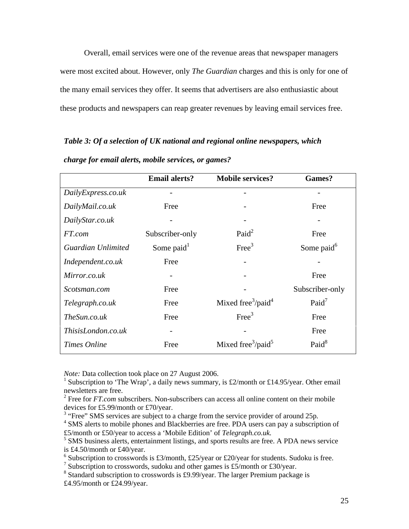Overall, email services were one of the revenue areas that newspaper managers were most excited about. However, only *The Guardian* charges and this is only for one of the many email services they offer. It seems that advertisers are also enthusiastic about these products and newspapers can reap greater revenues by leaving email services free.

*Table 3: Of a selection of UK national and regional online newspapers, which*

|                    | <b>Email alerts?</b>   | <b>Mobile services?</b>                    | Games?                 |
|--------------------|------------------------|--------------------------------------------|------------------------|
| DailyExpress.co.uk |                        |                                            |                        |
| DailyMail.co.uk    | Free                   |                                            | Free                   |
| DailyStar.co.uk    |                        |                                            |                        |
| FT.com             | Subscriber-only        | Paid <sup>2</sup>                          | Free                   |
| Guardian Unlimited | Some paid <sup>1</sup> | Free <sup>3</sup>                          | Some paid <sup>6</sup> |
| Independent.co.uk  | Free                   |                                            |                        |
| Mirror.co.uk       |                        |                                            | Free                   |
| Scotsman.com       | Free                   |                                            | Subscriber-only        |
| Telegraph.co.uk    | Free                   | Mixed free $\frac{3}{p}$ aid <sup>4</sup>  | Paid <sup>7</sup>      |
| TheSun.co.uk       | Free                   | Free <sup>3</sup>                          | Free                   |
| ThisisLondon.co.uk |                        |                                            | Free                   |
| Times Online       | Free                   | Mixed free <sup>3</sup> /paid <sup>5</sup> | Paid <sup>8</sup>      |

*charge for email alerts, mobile services, or games?*

*Note:* Data collection took place on 27 August 2006.

<sup>&</sup>lt;sup>1</sup> Subscription to 'The Wrap', a daily news summary, is £2/month or £14.95/year. Other email newsletters are free.

<sup>&</sup>lt;sup>2</sup> Free for *FT.com* subscribers. Non-subscribers can access all online content on their mobile devices for £5.99/month or £70/year.

 $3$  "Free" SMS services are subject to a charge from the service provider of around 25p.

<sup>&</sup>lt;sup>4</sup> SMS alerts to mobile phones and Blackberries are free. PDA users can pay a subscription of £5/month or £50/year to access a 'Mobile Edition' of *Telegraph.co.uk.*

<sup>&</sup>lt;sup>5</sup> SMS business alerts, entertainment listings, and sports results are free. A PDA news service is £4.50/month or £40/year.

<sup>&</sup>lt;sup>6</sup> Subscription to crosswords is £3/month, £25/year or £20/year for students. Sudoku is free.

<sup>&</sup>lt;sup>7</sup> Subscription to crosswords, sudoku and other games is £5/month or £30/year.

<sup>&</sup>lt;sup>8</sup> Standard subscription to crosswords is £9.99/year. The larger Premium package is £4.95/month or £24.99/year.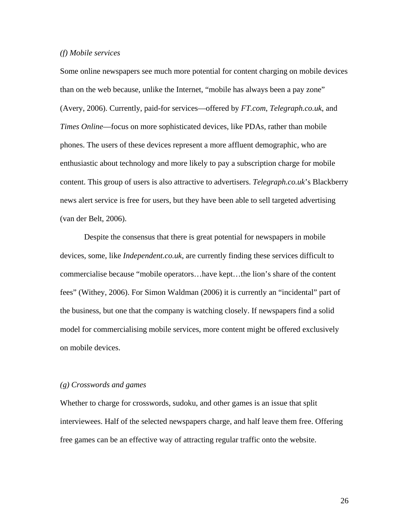#### *(f) Mobile services*

Some online newspapers see much more potential for content charging on mobile devices than on the web because, unlike the Internet, "mobile has always been a pay zone" (Avery, 2006). Currently, paid-for services—offered by *FT.com*, *Telegraph.co.uk*, and *Times Online*—focus on more sophisticated devices, like PDAs, rather than mobile phones. The users of these devices represent a more affluent demographic, who are enthusiastic about technology and more likely to pay a subscription charge for mobile content. This group of users is also attractive to advertisers. *Telegraph.co.uk*'s Blackberry news alert service is free for users, but they have been able to sell targeted advertising (van der Belt, 2006).

Despite the consensus that there is great potential for newspapers in mobile devices, some, like *Independent.co.uk*, are currently finding these services difficult to commercialise because "mobile operators…have kept…the lion's share of the content fees" (Withey, 2006). For Simon Waldman (2006) it is currently an "incidental" part of the business, but one that the company is watching closely. If newspapers find a solid model for commercialising mobile services, more content might be offered exclusively on mobile devices.

#### *(g) Crosswords and games*

Whether to charge for crosswords, sudoku, and other games is an issue that split interviewees. Half of the selected newspapers charge, and half leave them free. Offering free games can be an effective way of attracting regular traffic onto the website.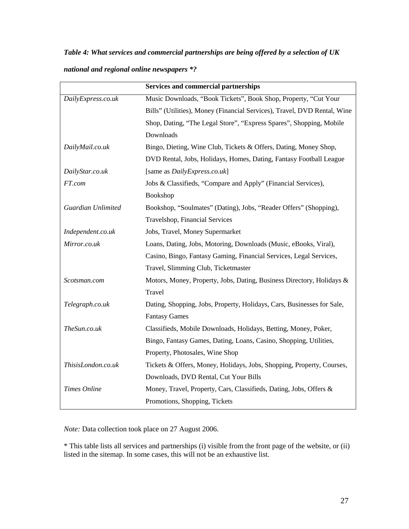*Table 4: What services and commercial partnerships are being offered by a selection of UK*

|                    | <b>Services and commercial partnerships</b>                              |  |
|--------------------|--------------------------------------------------------------------------|--|
| DailyExpress.co.uk | Music Downloads, "Book Tickets", Book Shop, Property, "Cut Your          |  |
|                    | Bills" (Utilities), Money (Financial Services), Travel, DVD Rental, Wine |  |
|                    | Shop, Dating, "The Legal Store", "Express Spares", Shopping, Mobile      |  |
|                    | Downloads                                                                |  |
| DailyMail.co.uk    | Bingo, Dieting, Wine Club, Tickets & Offers, Dating, Money Shop,         |  |
|                    | DVD Rental, Jobs, Holidays, Homes, Dating, Fantasy Football League       |  |
| DailyStar.co.uk    | [same as DailyExpress.co.uk]                                             |  |
| FT.com             | Jobs & Classifieds, "Compare and Apply" (Financial Services),            |  |
|                    | Bookshop                                                                 |  |
| Guardian Unlimited | Bookshop, "Soulmates" (Dating), Jobs, "Reader Offers" (Shopping),        |  |
|                    | Travelshop, Financial Services                                           |  |
| Independent.co.uk  | Jobs, Travel, Money Supermarket                                          |  |
| Mirror.co.uk       | Loans, Dating, Jobs, Motoring, Downloads (Music, eBooks, Viral),         |  |
|                    | Casino, Bingo, Fantasy Gaming, Financial Services, Legal Services,       |  |
|                    | Travel, Slimming Club, Ticketmaster                                      |  |
| Scotsman.com       | Motors, Money, Property, Jobs, Dating, Business Directory, Holidays &    |  |
|                    | Travel                                                                   |  |
| Telegraph.co.uk    | Dating, Shopping, Jobs, Property, Holidays, Cars, Businesses for Sale,   |  |
|                    | <b>Fantasy Games</b>                                                     |  |
| TheSun.co.uk       | Classifieds, Mobile Downloads, Holidays, Betting, Money, Poker,          |  |
|                    | Bingo, Fantasy Games, Dating, Loans, Casino, Shopping, Utilities,        |  |
|                    | Property, Photosales, Wine Shop                                          |  |
| ThisisLondon.co.uk | Tickets & Offers, Money, Holidays, Jobs, Shopping, Property, Courses,    |  |
|                    | Downloads, DVD Rental, Cut Your Bills                                    |  |
| Times Online       | Money, Travel, Property, Cars, Classifieds, Dating, Jobs, Offers &       |  |
|                    | Promotions, Shopping, Tickets                                            |  |

*Note:* Data collection took place on 27 August 2006.

\* This table lists all services and partnerships (i) visible from the front page of the website, or (ii) listed in the sitemap. In some cases, this will not be an exhaustive list.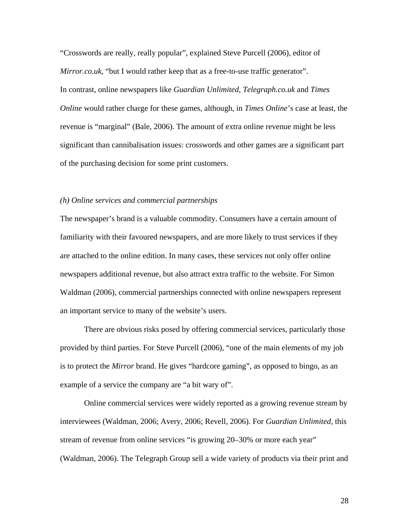"Crosswords are really, really popular", explained Steve Purcell (2006), editor of *Mirror.co.uk*, "but I would rather keep that as a free-to-use traffic generator". In contrast, online newspapers like *Guardian Unlimited*, *Telegraph.co.uk* and *Times Online* would rather charge for these games, although, in *Times Online*'s case at least, the revenue is "marginal" (Bale, 2006). The amount of extra online revenue might be less significant than cannibalisation issues: crosswords and other games are a significant part of the purchasing decision for some print customers.

#### *(h) Online services and commercial partnerships*

The newspaper's brand is a valuable commodity. Consumers have a certain amount of familiarity with their favoured newspapers, and are more likely to trust services if they are attached to the online edition. In many cases, these services not only offer online newspapers additional revenue, but also attract extra traffic to the website. For Simon Waldman (2006), commercial partnerships connected with online newspapers represent an important service to many of the website's users.

There are obvious risks posed by offering commercial services, particularly those provided by third parties. For Steve Purcell (2006), "one of the main elements of my job is to protect the *Mirror* brand. He gives "hardcore gaming", as opposed to bingo, as an example of a service the company are "a bit wary of".

Online commercial services were widely reported as a growing revenue stream by interviewees (Waldman, 2006; Avery, 2006; Revell, 2006). For *Guardian Unlimited*, this stream of revenue from online services "is growing 20–30% or more each year" (Waldman, 2006). The Telegraph Group sell a wide variety of products via their print and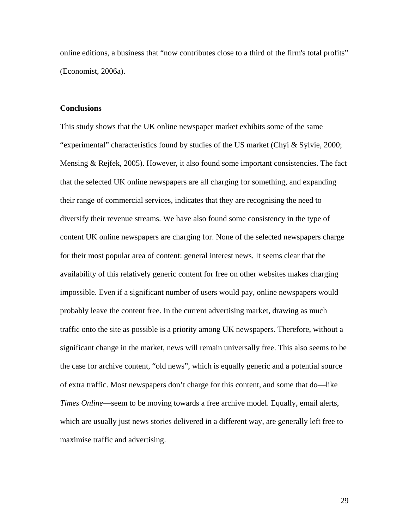online editions, a business that "now contributes close to a third of the firm's total profits" (Economist, 2006a).

# **Conclusions**

This study shows that the UK online newspaper market exhibits some of the same "experimental" characteristics found by studies of the US market (Chyi & Sylvie, 2000; Mensing & Rejfek, 2005). However, it also found some important consistencies. The fact that the selected UK online newspapers are all charging for something, and expanding their range of commercial services, indicates that they are recognising the need to diversify their revenue streams. We have also found some consistency in the type of content UK online newspapers are charging for. None of the selected newspapers charge for their most popular area of content: general interest news. It seems clear that the availability of this relatively generic content for free on other websites makes charging impossible. Even if a significant number of users would pay, online newspapers would probably leave the content free. In the current advertising market, drawing as much traffic onto the site as possible is a priority among UK newspapers. Therefore, without a significant change in the market, news will remain universally free. This also seems to be the case for archive content, "old news", which is equally generic and a potential source of extra traffic. Most newspapers don't charge for this content, and some that do—like *Times Online*—seem to be moving towards a free archive model. Equally, email alerts, which are usually just news stories delivered in a different way, are generally left free to maximise traffic and advertising.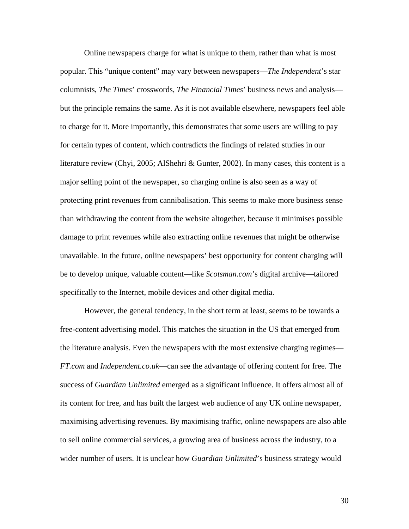Online newspapers charge for what is unique to them, rather than what is most popular. This "unique content" may vary between newspapers—*The Independent*'s star columnists, *The Times*' crosswords, *The Financial Times*' business news and analysis but the principle remains the same. As it is not available elsewhere, newspapers feel able to charge for it. More importantly, this demonstrates that some users are willing to pay for certain types of content, which contradicts the findings of related studies in our literature review (Chyi, 2005; AlShehri & Gunter, 2002). In many cases, this content is a major selling point of the newspaper, so charging online is also seen as a way of protecting print revenues from cannibalisation. This seems to make more business sense than withdrawing the content from the website altogether, because it minimises possible damage to print revenues while also extracting online revenues that might be otherwise unavailable. In the future, online newspapers' best opportunity for content charging will be to develop unique, valuable content—like *Scotsman.com*'s digital archive—tailored specifically to the Internet, mobile devices and other digital media.

However, the general tendency, in the short term at least, seems to be towards a free-content advertising model. This matches the situation in the US that emerged from the literature analysis. Even the newspapers with the most extensive charging regimes— *FT.com* and *Independent.co.uk*—can see the advantage of offering content for free. The success of *Guardian Unlimited* emerged as a significant influence. It offers almost all of its content for free, and has built the largest web audience of any UK online newspaper, maximising advertising revenues. By maximising traffic, online newspapers are also able to sell online commercial services, a growing area of business across the industry, to a wider number of users. It is unclear how *Guardian Unlimited*'s business strategy would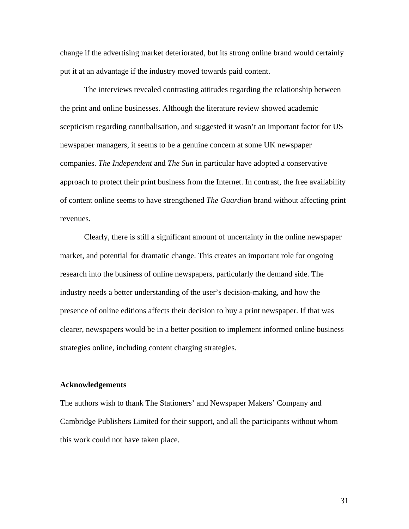change if the advertising market deteriorated, but its strong online brand would certainly put it at an advantage if the industry moved towards paid content.

The interviews revealed contrasting attitudes regarding the relationship between the print and online businesses. Although the literature review showed academic scepticism regarding cannibalisation, and suggested it wasn't an important factor for US newspaper managers, it seems to be a genuine concern at some UK newspaper companies. *The Independent* and *The Sun* in particular have adopted a conservative approach to protect their print business from the Internet. In contrast, the free availability of content online seems to have strengthened *The Guardian* brand without affecting print revenues.

Clearly, there is still a significant amount of uncertainty in the online newspaper market, and potential for dramatic change. This creates an important role for ongoing research into the business of online newspapers, particularly the demand side. The industry needs a better understanding of the user's decision-making, and how the presence of online editions affects their decision to buy a print newspaper. If that was clearer, newspapers would be in a better position to implement informed online business strategies online, including content charging strategies.

#### **Acknowledgements**

The authors wish to thank The Stationers' and Newspaper Makers' Company and Cambridge Publishers Limited for their support, and all the participants without whom this work could not have taken place.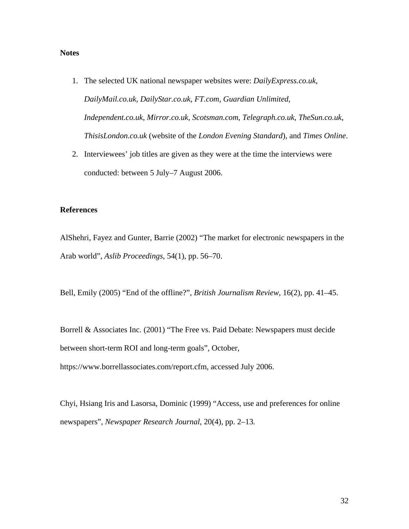# **Notes**

- 1. The selected UK national newspaper websites were: *DailyExpress.co.uk*, *DailyMail.co.uk*, *DailyStar.co.uk*, *FT.com*, *Guardian Unlimited*, *Independent.co.uk*, *Mirror.co.uk*, *Scotsman.com*, *Telegraph.co.uk*, *TheSun.co.uk*, *ThisisLondon.co.uk* (website of the *London Evening Standard*), and *Times Online*.
- 2. Interviewees' job titles are given as they were at the time the interviews were conducted: between 5 July–7 August 2006.

# **References**

AlShehri, Fayez and Gunter, Barrie (2002) "The market for electronic newspapers in the Arab world", *Aslib Proceedings*, 54(1), pp. 56–70.

Bell, Emily (2005) "End of the offline?", *British Journalism Review*, 16(2), pp. 41–45.

Borrell & Associates Inc. (2001) "The Free vs. Paid Debate: Newspapers must decide between short-term ROI and long-term goals", October, https://www.borrellassociates.com/report.cfm, accessed July 2006.

Chyi, Hsiang Iris and Lasorsa, Dominic (1999) "Access, use and preferences for online newspapers", *Newspaper Research Journal*, 20(4), pp. 2–13*.*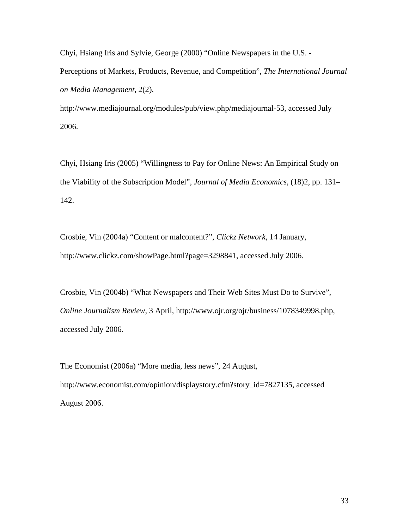Chyi, Hsiang Iris and Sylvie, George (2000) "Online Newspapers in the U.S. - Perceptions of Markets, Products, Revenue, and Competition", *The International Journal on Media Management*, 2(2),

http://www.mediajournal.org/modules/pub/view.php/mediajournal-53, accessed July 2006.

Chyi, Hsiang Iris (2005) "Willingness to Pay for Online News: An Empirical Study on the Viability of the Subscription Model", *Journal of Media Economics*, (18)2, pp. 131– 142.

Crosbie, Vin (2004a) "Content or malcontent?", *Clickz Network*, 14 January, http://www.clickz.com/showPage.html?page=3298841, accessed July 2006.

Crosbie, Vin (2004b) "What Newspapers and Their Web Sites Must Do to Survive", *Online Journalism Review*, 3 April, http://www.ojr.org/ojr/business/1078349998.php, accessed July 2006.

The Economist (2006a) "More media, less news", 24 August, http://www.economist.com/opinion/displaystory.cfm?story\_id=7827135, accessed August 2006.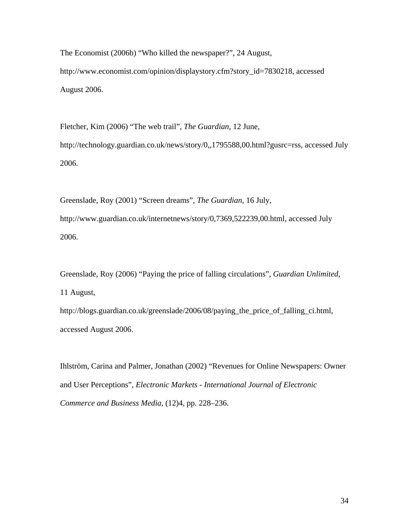The Economist (2006b) "Who killed the newspaper?", 24 August, http://www.economist.com/opinion/displaystory.cfm?story\_id=7830218, accessed August 2006.

Fletcher, Kim (2006) "The web trail", *The Guardian*, 12 June, http://technology.guardian.co.uk/news/story/0,,1795588,00.html?gusrc=rss, accessed July 2006.

Greenslade, Roy (2001) "Screen dreams", *The Guardian*, 16 July, http://www.guardian.co.uk/internetnews/story/0,7369,522239,00.html, accessed July 2006.

Greenslade, Roy (2006) "Paying the price of falling circulations", *Guardian Unlimited*, 11 August,

http://blogs.guardian.co.uk/greenslade/2006/08/paying\_the\_price\_of\_falling\_ci.html, accessed August 2006.

Ihlström, Carina and Palmer, Jonathan (2002) "Revenues for Online Newspapers: Owner and User Perceptions", *Electronic Markets - International Journal of Electronic Commerce and Business Media*, (12)4, pp. 228–236.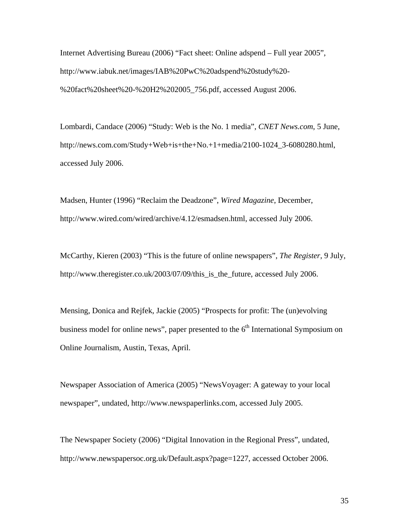Internet Advertising Bureau (2006) "Fact sheet: Online adspend – Full year 2005", http://www.iabuk.net/images/IAB%20PwC%20adspend%20study%20- %20fact%20sheet%20-%20H2%202005\_756.pdf, accessed August 2006.

Lombardi, Candace (2006) "Study: Web is the No. 1 media", *CNET News.com*, 5 June, http://news.com.com/Study+Web+is+the+No.+1+media/2100-1024\_3-6080280.html, accessed July 2006.

Madsen, Hunter (1996) "Reclaim the Deadzone", *Wired Magazine*, December, http://www.wired.com/wired/archive/4.12/esmadsen.html, accessed July 2006.

McCarthy, Kieren (2003) "This is the future of online newspapers", *The Register*, 9 July, http://www.theregister.co.uk/2003/07/09/this\_is\_the\_future, accessed July 2006.

Mensing, Donica and Rejfek, Jackie (2005) "Prospects for profit: The (un)evolving business model for online news", paper presented to the  $6<sup>th</sup>$  International Symposium on Online Journalism, Austin, Texas, April.

Newspaper Association of America (2005) "NewsVoyager: A gateway to your local newspaper", undated, http://www.newspaperlinks.com, accessed July 2005.

The Newspaper Society (2006) "Digital Innovation in the Regional Press", undated, http://www.newspapersoc.org.uk/Default.aspx?page=1227, accessed October 2006.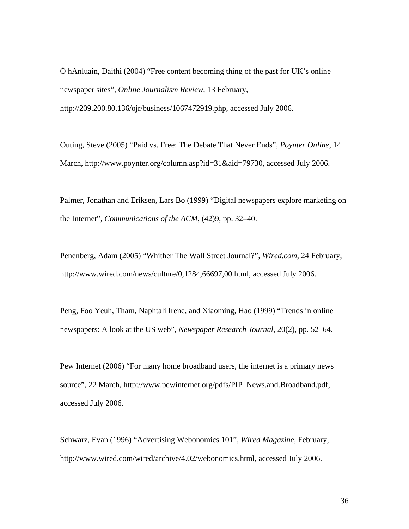Ó hAnluain, Daithi (2004) "Free content becoming thing of the past for UK's online newspaper sites", *Online Journalism Review*, 13 February,

http://209.200.80.136/ojr/business/1067472919.php, accessed July 2006.

Outing, Steve (2005) "Paid vs. Free: The Debate That Never Ends", *Poynter Online*, 14 March, http://www.poynter.org/column.asp?id=31&aid=79730, accessed July 2006.

Palmer, Jonathan and Eriksen, Lars Bo (1999) "Digital newspapers explore marketing on the Internet", *Communications of the ACM*, (42)9, pp. 32–40.

Penenberg, Adam (2005) "Whither The Wall Street Journal?", *Wired.com*, 24 February, http://www.wired.com/news/culture/0,1284,66697,00.html, accessed July 2006.

Peng, Foo Yeuh, Tham, Naphtali Irene, and Xiaoming, Hao (1999) "Trends in online newspapers: A look at the US web", *Newspaper Research Journal*, 20(2), pp. 52–64.

Pew Internet (2006) "For many home broadband users, the internet is a primary news source", 22 March, http://www.pewinternet.org/pdfs/PIP\_News.and.Broadband.pdf, accessed July 2006.

Schwarz, Evan (1996) "Advertising Webonomics 101", *Wired Magazine*, February, http://www.wired.com/wired/archive/4.02/webonomics.html, accessed July 2006.